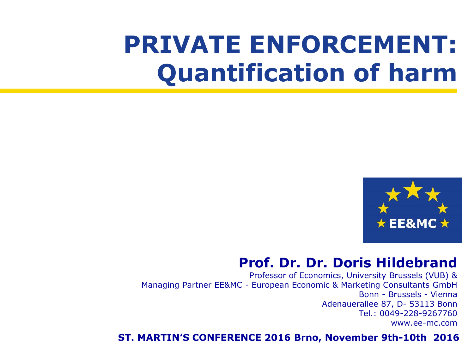## **PRIVATE ENFORCEMENT: Quantification of harm**



#### **Prof. Dr. Dr. Doris Hildebrand**

Professor of Economics, University Brussels (VUB) & Managing Partner EE&MC - European Economic & Marketing Consultants GmbH Bonn - Brussels - Vienna Adenauerallee 87, D- 53113 Bonn Tel.: 0049-228-9267760 www.ee-mc.com

#### **ST. MARTIN'S CONFERENCE 2016 Brno, November 9th-10th 2016**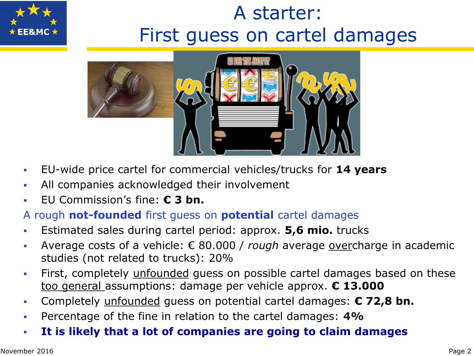

## A starter: First guess on cartel damages



- EU-wide price cartel for commercial vehicles/trucks for **14 years**
- All companies acknowledged their involvement
- EU Commission's fine: **€ 3 bn.**

#### A rough **not-founded** first guess on **potential** cartel damages

- Estimated sales during cartel period: approx. **5,6 mio.** trucks
- Average costs of a vehicle: € 80.000 / *rough* average overcharge in academic studies (not related to trucks): 20%
- First, completely unfounded guess on possible cartel damages based on these too general assumptions: damage per vehicle approx. **€ 13.000**
- Completely unfounded guess on potential cartel damages: **€ 72,8 bn.**
- Percentage of the fine in relation to the cartel damages: **4%**
- **It is likely that a lot of companies are going to claim damages**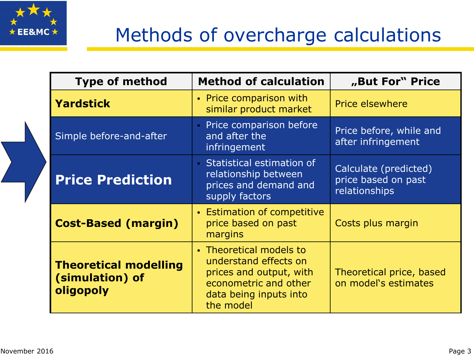

## Methods of overcharge calculations

| <b>Type of method</b>                                        | <b>Method of calculation</b>                                                                                                                | "But For" Price                                               |
|--------------------------------------------------------------|---------------------------------------------------------------------------------------------------------------------------------------------|---------------------------------------------------------------|
| <b>Yardstick</b>                                             | • Price comparison with<br>similar product market                                                                                           | <b>Price elsewhere</b>                                        |
| Simple before-and-after                                      | Price comparison before<br>and after the<br>infringement                                                                                    | Price before, while and<br>after infringement                 |
| <b>Price Prediction</b>                                      | Statistical estimation of<br>relationship between<br>prices and demand and<br>supply factors                                                | Calculate (predicted)<br>price based on past<br>relationships |
| <b>Cost-Based (margin)</b>                                   | <b>Estimation of competitive</b><br>price based on past<br>margins                                                                          | Costs plus margin                                             |
| <b>Theoretical modelling</b><br>(simulation) of<br>oligopoly | • Theoretical models to<br>understand effects on<br>prices and output, with<br>econometric and other<br>data being inputs into<br>the model | Theoretical price, based<br>on model's estimates              |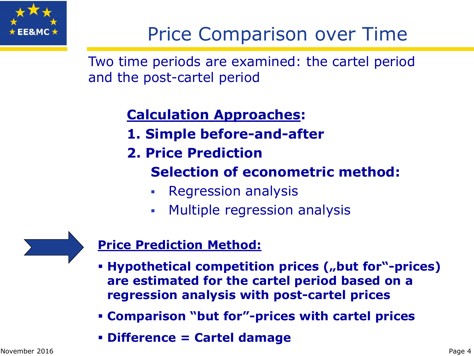

## Price Comparison over Time

Two time periods are examined: the cartel period and the post-cartel period

### **Calculation Approaches:**

- **1. Simple before-and-after**
- **2. Price Prediction**
	- **Selection of econometric method:**
	- Regression analysis
	- **Multiple regression analysis**

#### **Price Prediction Method:**

- **Hypothetical competition prices ("but for"-prices) are estimated for the cartel period based on a regression analysis with post-cartel prices**
- **Comparison "but for"-prices with cartel prices**
- **Difference = Cartel damage**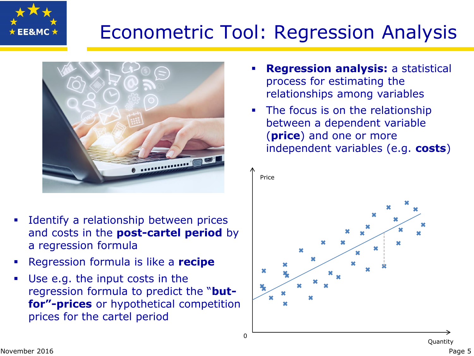

## Econometric Tool: Regression Analysis



- **Identify a relationship between prices** and costs in the **post-cartel period** by a regression formula
- Regression formula is like a **recipe**
- Use e.g. the input costs in the regression formula to predict the "**butfor"-prices** or hypothetical competition prices for the cartel period
- **Regression analysis:** a statistical process for estimating the relationships among variables
- The focus is on the relationship between a dependent variable (**price**) and one or more independent variables (e.g. **costs**)

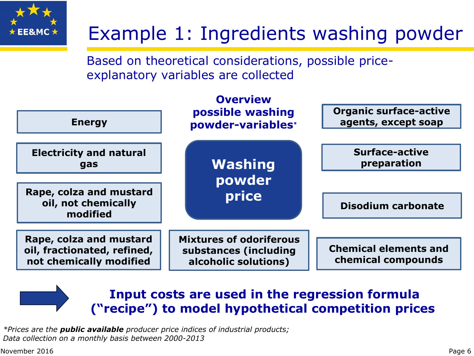

## Example 1: Ingredients washing powder

Based on theoretical considerations, possible priceexplanatory variables are collected



#### **Input costs are used in the regression formula ("recipe") to model hypothetical competition prices**

*\*Prices are the public available producer price indices of industrial products; Data collection on a monthly basis between 2000-2013* 

November 2016 Page 6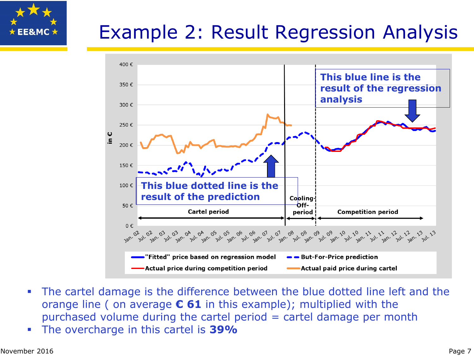# $\star$  EE&MC  $\star$

## Example 2: Result Regression Analysis



- The cartel damage is the difference between the blue dotted line left and the orange line ( on average **€ 61** in this example); multiplied with the purchased volume during the cartel period = cartel damage per month
- The overcharge in this cartel is **39%**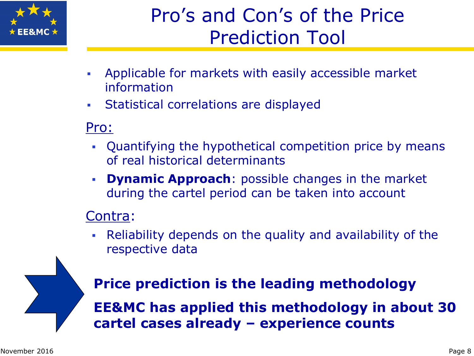

## Pro's and Con's of the Price Prediction Tool

- Applicable for markets with easily accessible market information
- Statistical correlations are displayed

#### Pro:

- Quantifying the hypothetical competition price by means of real historical determinants
- **Dynamic Approach**: possible changes in the market during the cartel period can be taken into account

#### Contra:

 Reliability depends on the quality and availability of the respective data

## **Price prediction is the leading methodology**

**EE&MC has applied this methodology in about 30 cartel cases already – experience counts**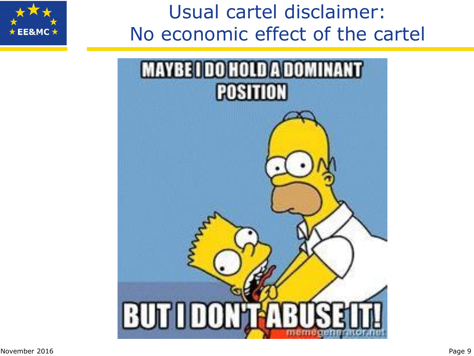## Usual cartel disclaimer: No economic effect of the cartel